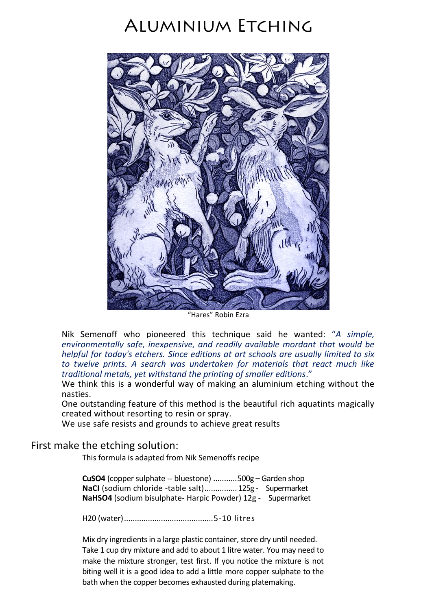# **ALUMINIUM ETCHING**



"Hares" Robin Ezra

Nik Semenoff who pioneered this technique said he wanted: "*A simple, environmentally safe, inexpensive, and readily available mordant that would be helpful for today's etchers. Since editions at art schools are usually limited to six to twelve prints. A search was undertaken for materials that react much like traditional metals, yet withstand the printing of smaller editions*."

We think this is a wonderful way of making an aluminium etching without the nasties.

One outstanding feature of this method is the beautiful rich aquatints magically created without resorting to resin or spray.

We use safe resists and grounds to achieve great results

#### First make the etching solution:

This formula is adapted from Nik Semenoffs recipe

**CuSO4** (copper sulphate -- bluestone) ...........500g – Garden shop **NaCI** (sodium chloride -table salt)...............125g - Supermarket **NaHSO4** (sodium bisulphate- Harpic Powder) 12g - Supermarket

H20 (water).........................................5-10 litres

Mix dry ingredients in a large plastic container, store dry until needed. Take 1 cup dry mixture and add to about 1 litre water. You may need to make the mixture stronger, test first. If you notice the mixture is not biting well it is a good idea to add a little more copper sulphate to the bath when the copper becomes exhausted during platemaking.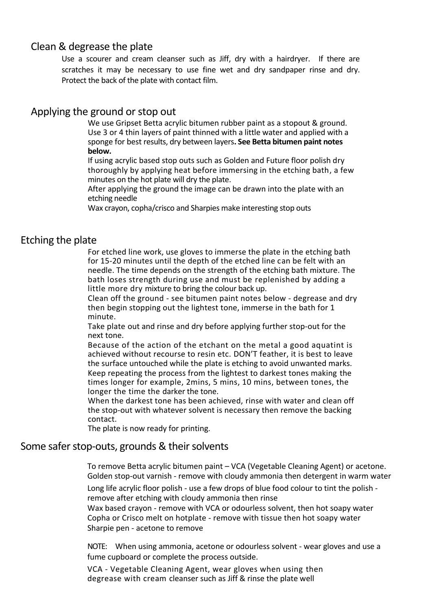# Clean & degrease the plate

Use a scourer and cream cleanser such as Jiff, dry with a hairdryer. If there are scratches it may be necessary to use fine wet and dry sandpaper rinse and dry. Protect the back of the plate with contact film.

### Applying the ground or stop out

We use Gripset Betta acrylic bitumen rubber paint as a stopout & ground. Use 3 or 4 thin layers of paint thinned with a little water and applied with a sponge for best results, dry between layers**. See Betta bitumen paint notes below.**

If using acrylic based stop outs such as Golden and Future floor polish dry thoroughly by applying heat before immersing in the etching bath, a few minutes on the hot plate will dry the plate.

After applying the ground the image can be drawn into the plate with an etching needle

Wax crayon, copha/crisco and Sharpies make interesting stop outs

#### Etching the plate

For etched line work, use gloves to immerse the plate in the etching bath for 15-20 minutes until the depth of the etched line can be felt with an needle. The time depends on the strength of the etching bath mixture. The bath loses strength during use and must be replenished by adding a little more dry mixture to bring the colour back up.

Clean off the ground - see bitumen paint notes below - degrease and dry then begin stopping out the lightest tone, immerse in the bath for 1 minute.

Take plate out and rinse and dry before applying further stop-out for the next tone.

Because of the action of the etchant on the metal a good aquatint is achieved without recourse to resin etc. DON'T feather, it is best to leave the surface untouched while the plate is etching to avoid unwanted marks. Keep repeating the process from the lightest to darkest tones making the times longer for example, 2mins, 5 mins, 10 mins, between tones, the longer the time the darker the tone.

When the darkest tone has been achieved, rinse with water and clean off the stop-out with whatever solvent is necessary then remove the backing contact.

The plate is now ready for printing.

## Some safer stop-outs, grounds & their solvents

To remove Betta acrylic bitumen paint – VCA (Vegetable Cleaning Agent) or acetone. Golden stop-out varnish - remove with cloudy ammonia then detergent in warm water Long life acrylic floor polish - use a few drops of blue food colour to tint the polish remove after etching with cloudy ammonia then rinse

Wax based crayon - remove with VCA or odourless solvent, then hot soapy water Copha or Crisco melt on hotplate - remove with tissue then hot soapy water Sharpie pen - acetone to remove

NOTE: When using ammonia, acetone or odourless solvent - wear gloves and use a fume cupboard or complete the process outside.

VCA - Vegetable Cleaning Agent, wear gloves when using then degrease with cream cleanser such as Jiff & rinse the plate well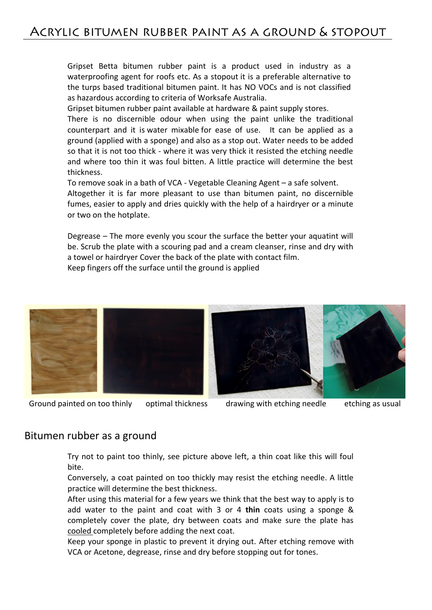Gripset Betta bitumen rubber paint is a product used in industry as a waterproofing agent for roofs etc. As a stopout it is a preferable alternative to the turps based traditional bitumen paint. It has NO VOCs and is not classified as hazardous according to criteria of Worksafe Australia.

Gripset bitumen rubber paint available at hardware & paint supply stores.

There is no discernible odour when using the paint unlike the traditional counterpart and it is water mixable for ease of use. It can be applied as a ground (applied with a sponge) and also as a stop out. Water needs to be added so that it is not too thick - where it was very thick it resisted the etching needle and where too thin it was foul bitten. A little practice will determine the best thickness.

To remove soak in a bath of VCA - Vegetable Cleaning Agent – a safe solvent. Altogether it is far more pleasant to use than bitumen paint, no discernible fumes, easier to apply and dries quickly with the help of a hairdryer or a minute or two on the hotplate.

Degrease – The more evenly you scour the surface the better your aquatint will be. Scrub the plate with a scouring pad and a cream cleanser, rinse and dry with a towel or hairdryer Cover the back of the plate with contact film. Keep fingers off the surface until the ground is applied





Ground painted on too thinly optimal thickness drawing with etching needle etching as usual

#### Bitumen rubber as a ground

Try not to paint too thinly, see picture above left, a thin coat like this will foul bite.

Conversely, a coat painted on too thickly may resist the etching needle. A little practice will determine the best thickness.

After using this material for a few years we think that the best way to apply is to add water to the paint and coat with 3 or 4 **thin** coats using a sponge & completely cover the plate, dry between coats and make sure the plate has cooled completely before adding the next coat.

Keep your sponge in plastic to prevent it drying out. After etching remove with VCA or Acetone, degrease, rinse and dry before stopping out for tones.